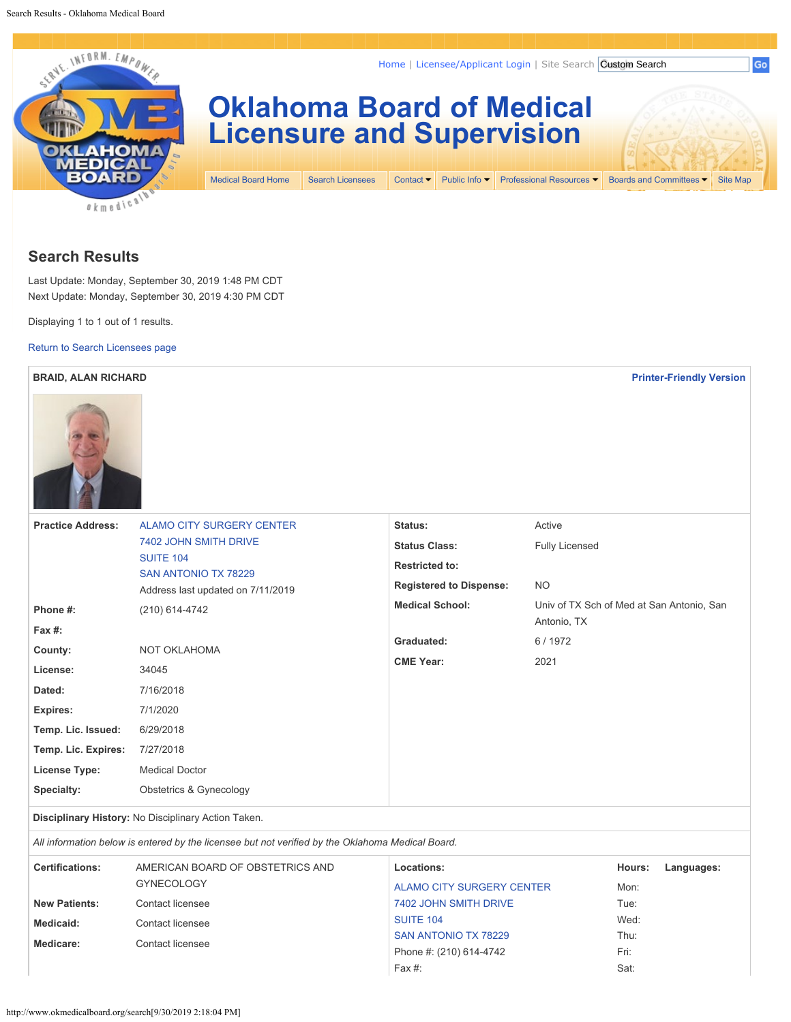<span id="page-0-0"></span>

## **Search Results**

Last Update: Monday, September 30, 2019 1:48 PM CDT Next Update: Monday, September 30, 2019 4:30 PM CDT

Displaying 1 to 1 out of 1 results.

[Return to Search Licensees page](#page-0-0)

| <b>BRAID, ALAN RICHARD</b><br><b>Printer-Friendly Version</b> |                                                                               |                                |                                                          |  |  |
|---------------------------------------------------------------|-------------------------------------------------------------------------------|--------------------------------|----------------------------------------------------------|--|--|
|                                                               |                                                                               |                                |                                                          |  |  |
| <b>Practice Address:</b>                                      | <b>ALAMO CITY SURGERY CENTER</b>                                              | Status:                        | Active                                                   |  |  |
|                                                               | 7402 JOHN SMITH DRIVE                                                         | <b>Status Class:</b>           | <b>Fully Licensed</b>                                    |  |  |
|                                                               | <b>SUITE 104</b><br>SAN ANTONIO TX 78229<br>Address last updated on 7/11/2019 | <b>Restricted to:</b>          |                                                          |  |  |
|                                                               |                                                                               | <b>Registered to Dispense:</b> | <b>NO</b>                                                |  |  |
| Phone #:                                                      | (210) 614-4742                                                                | <b>Medical School:</b>         | Univ of TX Sch of Med at San Antonio, San<br>Antonio, TX |  |  |
| Fax #:                                                        |                                                                               | Graduated:                     | 6/1972                                                   |  |  |
| County:                                                       | NOT OKLAHOMA                                                                  | <b>CME Year:</b>               | 2021                                                     |  |  |
| License:                                                      | 34045                                                                         |                                |                                                          |  |  |
| Dated:                                                        | 7/16/2018                                                                     |                                |                                                          |  |  |
| Expires:                                                      | 7/1/2020                                                                      |                                |                                                          |  |  |
| Temp. Lic. Issued:                                            | 6/29/2018                                                                     |                                |                                                          |  |  |
| Temp. Lic. Expires:                                           | 7/27/2018                                                                     |                                |                                                          |  |  |
| <b>License Type:</b>                                          | <b>Medical Doctor</b>                                                         |                                |                                                          |  |  |
| Specialty:                                                    | <b>Obstetrics &amp; Gynecology</b>                                            |                                |                                                          |  |  |

**Disciplinary History:** No Disciplinary Action Taken.

*All information below is entered by the licensee but not verified by the Oklahoma Medical Board.*

| <b>Certifications:</b> | AMERICAN BOARD OF OBSTETRICS AND | Locations:                | Hours:<br>Languages: |
|------------------------|----------------------------------|---------------------------|----------------------|
|                        | <b>GYNECOLOGY</b>                | ALAMO CITY SURGERY CENTER | Mon:                 |
| <b>New Patients:</b>   | Contact licensee                 | 7402 JOHN SMITH DRIVE     | Tue:                 |
| Medicaid:              | Contact licensee                 | <b>SUITE 104</b>          | Wed:                 |
| Medicare:              | Contact licensee                 | SAN ANTONIO TX 78229      | Thu:                 |
|                        |                                  | Phone #: (210) 614-4742   | Fri:                 |
|                        |                                  | Fax #:                    | Sat:                 |